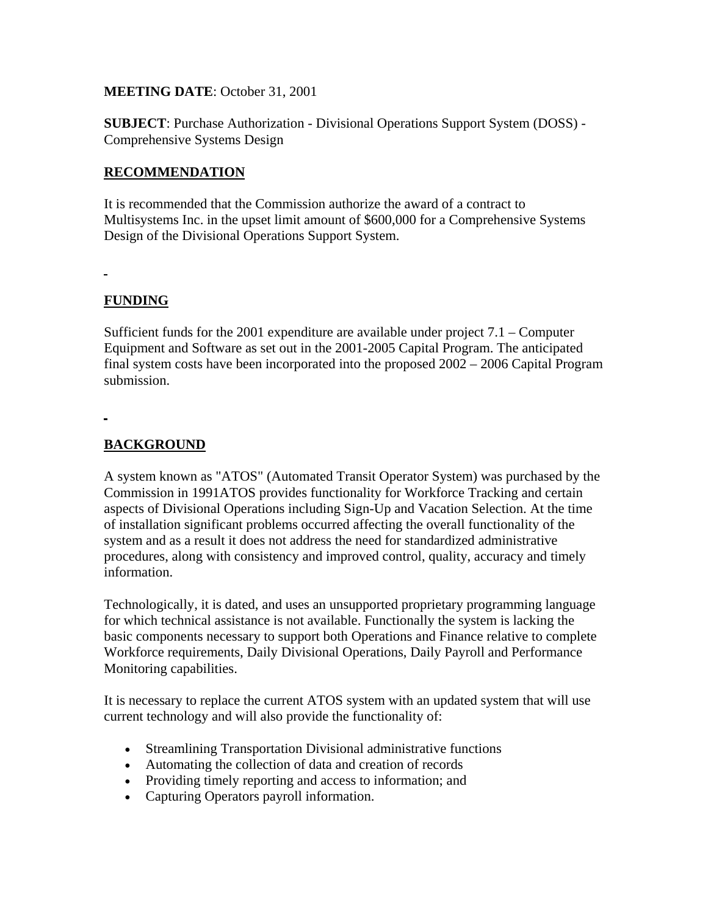#### **MEETING DATE**: October 31, 2001

**SUBJECT**: Purchase Authorization - Divisional Operations Support System (DOSS) - Comprehensive Systems Design

### **RECOMMENDATION**

It is recommended that the Commission authorize the award of a contract to Multisystems Inc. in the upset limit amount of \$600,000 for a Comprehensive Systems Design of the Divisional Operations Support System.

### **FUNDING**

.

Sufficient funds for the 2001 expenditure are available under project 7.1 – Computer Equipment and Software as set out in the 2001-2005 Capital Program. The anticipated final system costs have been incorporated into the proposed 2002 – 2006 Capital Program submission.

## **BACKGROUND**

A system known as "ATOS" (Automated Transit Operator System) was purchased by the Commission in 1991ATOS provides functionality for Workforce Tracking and certain aspects of Divisional Operations including Sign-Up and Vacation Selection. At the time of installation significant problems occurred affecting the overall functionality of the system and as a result it does not address the need for standardized administrative procedures, along with consistency and improved control, quality, accuracy and timely information.

Technologically, it is dated, and uses an unsupported proprietary programming language for which technical assistance is not available. Functionally the system is lacking the basic components necessary to support both Operations and Finance relative to complete Workforce requirements, Daily Divisional Operations, Daily Payroll and Performance Monitoring capabilities.

It is necessary to replace the current ATOS system with an updated system that will use current technology and will also provide the functionality of:

- Streamlining Transportation Divisional administrative functions
- Automating the collection of data and creation of records
- Providing timely reporting and access to information; and
- Capturing Operators payroll information.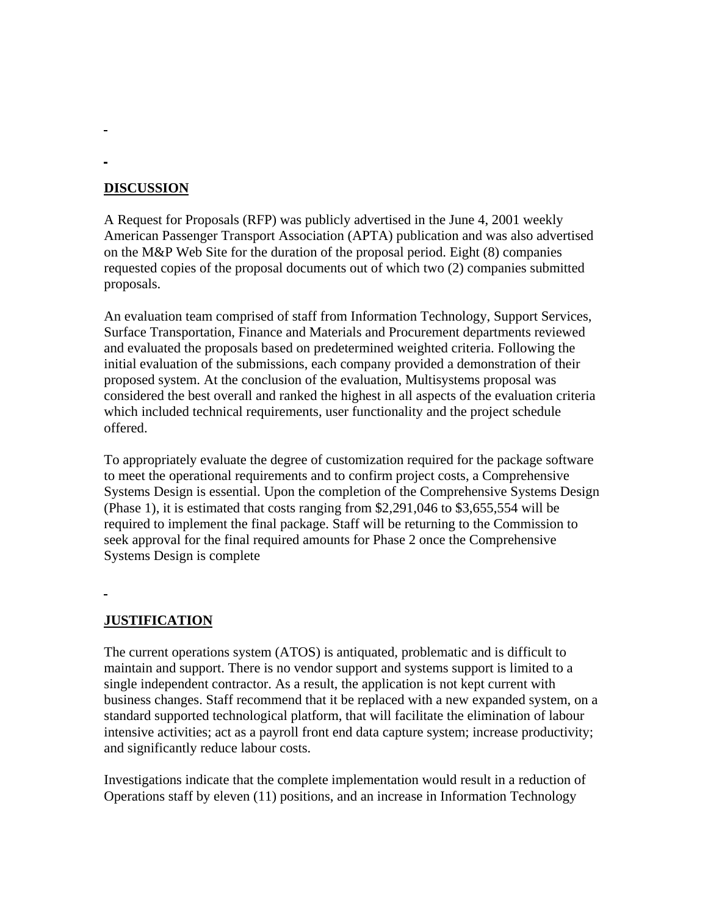#### **DISCUSSION**

÷

A Request for Proposals (RFP) was publicly advertised in the June 4, 2001 weekly American Passenger Transport Association (APTA) publication and was also advertised on the M&P Web Site for the duration of the proposal period. Eight (8) companies requested copies of the proposal documents out of which two (2) companies submitted proposals.

An evaluation team comprised of staff from Information Technology, Support Services, Surface Transportation, Finance and Materials and Procurement departments reviewed and evaluated the proposals based on predetermined weighted criteria. Following the initial evaluation of the submissions, each company provided a demonstration of their proposed system. At the conclusion of the evaluation, Multisystems proposal was considered the best overall and ranked the highest in all aspects of the evaluation criteria which included technical requirements, user functionality and the project schedule offered.

To appropriately evaluate the degree of customization required for the package software to meet the operational requirements and to confirm project costs, a Comprehensive Systems Design is essential. Upon the completion of the Comprehensive Systems Design (Phase 1), it is estimated that costs ranging from \$2,291,046 to \$3,655,554 will be required to implement the final package. Staff will be returning to the Commission to seek approval for the final required amounts for Phase 2 once the Comprehensive Systems Design is complete

### **JUSTIFICATION**

The current operations system (ATOS) is antiquated, problematic and is difficult to maintain and support. There is no vendor support and systems support is limited to a single independent contractor. As a result, the application is not kept current with business changes. Staff recommend that it be replaced with a new expanded system, on a standard supported technological platform, that will facilitate the elimination of labour intensive activities; act as a payroll front end data capture system; increase productivity; and significantly reduce labour costs.

Investigations indicate that the complete implementation would result in a reduction of Operations staff by eleven (11) positions, and an increase in Information Technology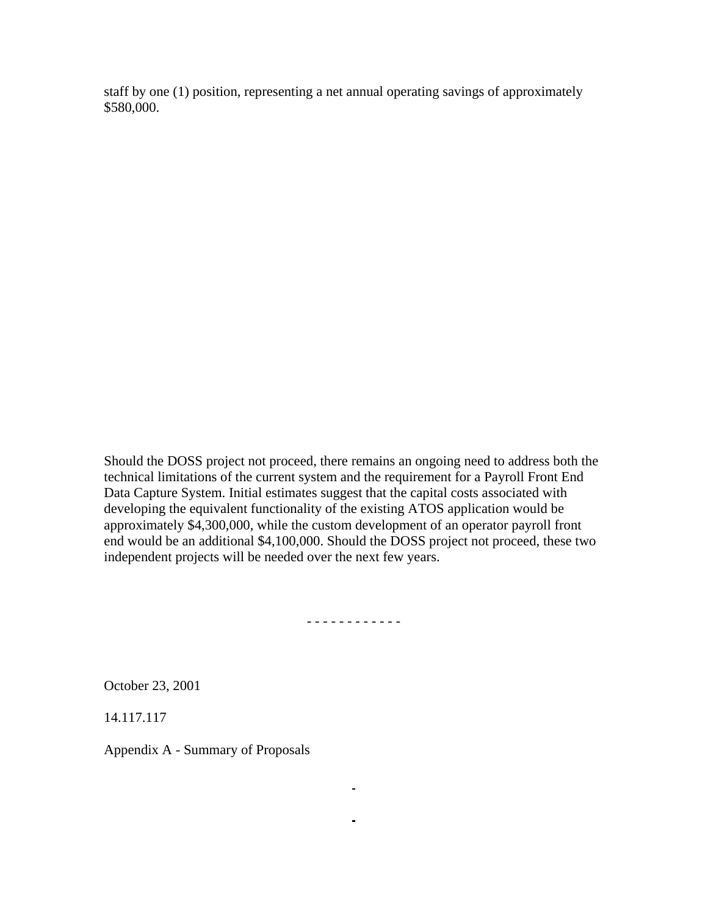staff by one (1) position, representing a net annual operating savings of approximately \$580,000.

Should the DOSS project not proceed, there remains an ongoing need to address both the technical limitations of the current system and the requirement for a Payroll Front End Data Capture System. Initial estimates suggest that the capital costs associated with developing the equivalent functionality of the existing ATOS application would be approximately \$4,300,000, while the custom development of an operator payroll front end would be an additional \$4,100,000. Should the DOSS project not proceed, these two independent projects will be needed over the next few years.

- - - - - - - - - - - -

 $\blacksquare$ 

 $\mathbf{m} = \mathbf{0}$  .

October 23, 2001

14.117.117

Appendix A - Summary of Proposals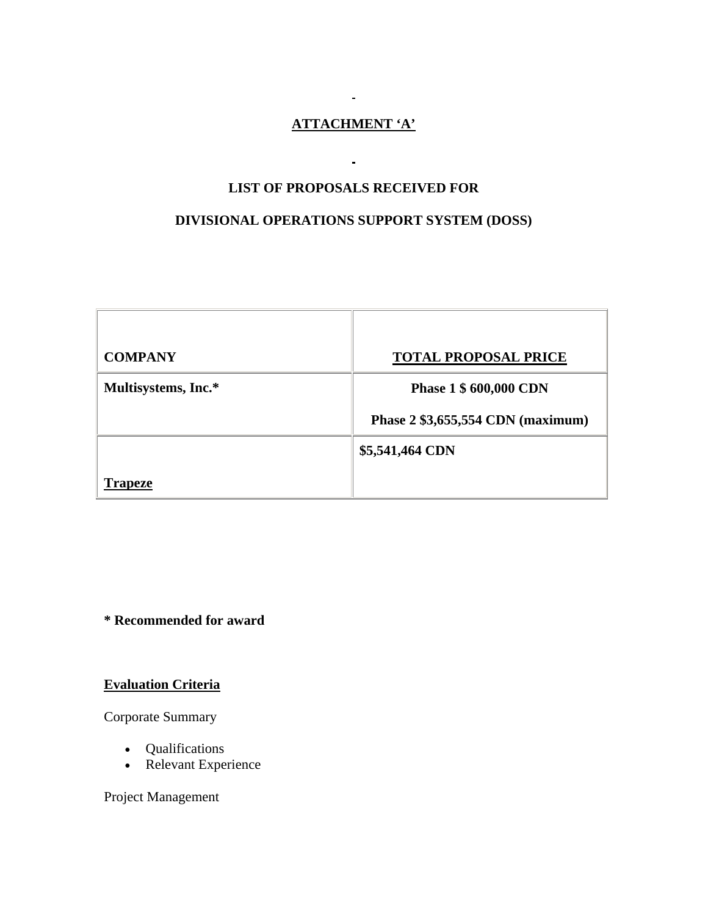# **ATTACHMENT 'A'**

 $\mathbf{r}$ 

## **LIST OF PROPOSALS RECEIVED FOR**

 $\blacksquare$ 

## **DIVISIONAL OPERATIONS SUPPORT SYSTEM (DOSS)**

| <b>COMPANY</b>      | <b>TOTAL PROPOSAL PRICE</b>       |
|---------------------|-----------------------------------|
| Multisystems, Inc.* | Phase 1 \$ 600,000 CDN            |
|                     | Phase 2 \$3,655,554 CDN (maximum) |
|                     | \$5,541,464 CDN                   |
| Trapeze             |                                   |

# **\* Recommended for award**

**Evaluation Criteria**

Corporate Summary

- Qualifications
- Relevant Experience

Project Management